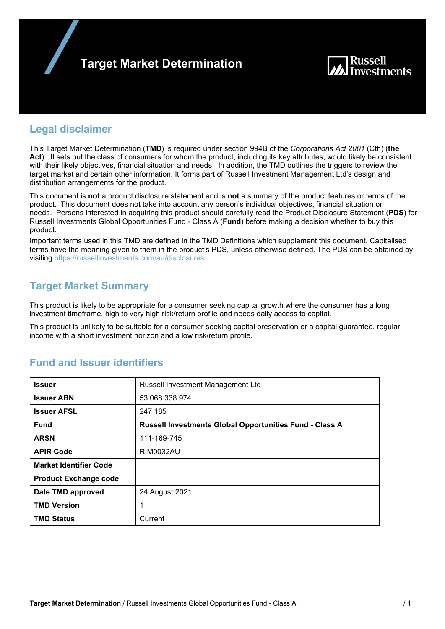



### **Legal disclaimer**

This Target Market Determination (**TMD**) is required under section 994B of the *Corporations Act 2001* (Cth) (**the Act**). It sets out the class of consumers for whom the product, including its key attributes, would likely be consistent with their likely objectives, financial situation and needs. In addition, the TMD outlines the triggers to review the target market and certain other information. It forms part of Russell Investment Management Ltd's design and distribution arrangements for the product.

This document is **not** a product disclosure statement and is **not** a summary of the product features or terms of the product. This document does not take into account any person's individual objectives, financial situation or needs. Persons interested in acquiring this product should carefully read the Product Disclosure Statement (**PDS**) for Russell Investments Global Opportunities Fund - Class A (**Fund**) before making a decision whether to buy this product.

Important terms used in this TMD are defined in the TMD Definitions which supplement this document. Capitalised terms have the meaning given to them in the product's PDS, unless otherwise defined. The PDS can be obtained by visiting https://russellinvestments.com/au/disclosures.

# **Target Market Summary**

This product is likely to be appropriate for a consumer seeking capital growth where the consumer has a long investment timeframe, high to very high risk/return profile and needs daily access to capital.

This product is unlikely to be suitable for a consumer seeking capital preservation or a capital guarantee, regular income with a short investment horizon and a low risk/return profile.

| <b>Issuer</b>                 | Russell Investment Management Ltd                              |
|-------------------------------|----------------------------------------------------------------|
| <b>Issuer ABN</b>             | 53 068 338 974                                                 |
| <b>Issuer AFSL</b>            | 247 185                                                        |
| Fund                          | <b>Russell Investments Global Opportunities Fund - Class A</b> |
| <b>ARSN</b>                   | 111-169-745                                                    |
| <b>APIR Code</b>              | <b>RIM0032AU</b>                                               |
| <b>Market Identifier Code</b> |                                                                |
| <b>Product Exchange code</b>  |                                                                |
| Date TMD approved             | 24 August 2021                                                 |
| <b>TMD Version</b>            | 1                                                              |
| <b>TMD Status</b>             | Current                                                        |

# **Fund and Issuer identifiers**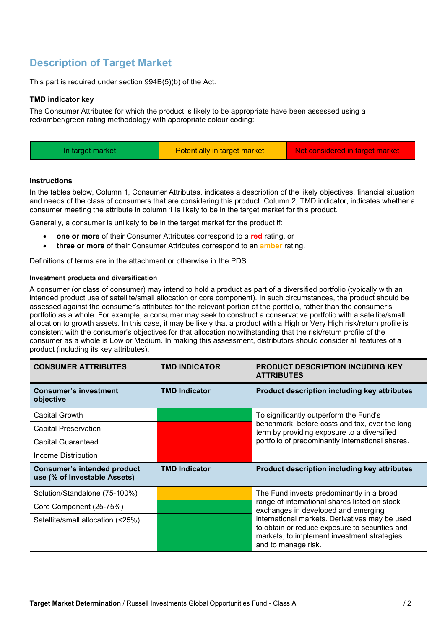# **Description of Target Market**

This part is required under section 994B(5)(b) of the Act.

### **TMD indicator key**

The Consumer Attributes for which the product is likely to be appropriate have been assessed using a red/amber/green rating methodology with appropriate colour coding:

| Potentially in target market<br>Not considered in target market<br>In target market |  |
|-------------------------------------------------------------------------------------|--|
|-------------------------------------------------------------------------------------|--|

### **Instructions**

In the tables below, Column 1, Consumer Attributes, indicates a description of the likely objectives, financial situation and needs of the class of consumers that are considering this product. Column 2, TMD indicator, indicates whether a consumer meeting the attribute in column 1 is likely to be in the target market for this product.

Generally, a consumer is unlikely to be in the target market for the product if:

- **one or more** of their Consumer Attributes correspond to a **red** rating, or
- **three or more** of their Consumer Attributes correspond to an **amber** rating.

Definitions of terms are in the attachment or otherwise in the PDS.

### **Investment products and diversification**

A consumer (or class of consumer) may intend to hold a product as part of a diversified portfolio (typically with an intended product use of satellite/small allocation or core component). In such circumstances, the product should be assessed against the consumer's attributes for the relevant portion of the portfolio, rather than the consumer's portfolio as a whole. For example, a consumer may seek to construct a conservative portfolio with a satellite/small allocation to growth assets. In this case, it may be likely that a product with a High or Very High risk/return profile is consistent with the consumer's objectives for that allocation notwithstanding that the risk/return profile of the consumer as a whole is Low or Medium. In making this assessment, distributors should consider all features of a product (including its key attributes).

| <b>CONSUMER ATTRIBUTES</b>                                         | <b>TMD INDICATOR</b> | <b>PRODUCT DESCRIPTION INCUDING KEY</b><br><b>ATTRIBUTES</b>                                                                                                                                |  |
|--------------------------------------------------------------------|----------------------|---------------------------------------------------------------------------------------------------------------------------------------------------------------------------------------------|--|
| <b>Consumer's investment</b><br>objective                          | <b>TMD Indicator</b> | <b>Product description including key attributes</b>                                                                                                                                         |  |
| Capital Growth                                                     |                      | To significantly outperform the Fund's<br>benchmark, before costs and tax, over the long<br>term by providing exposure to a diversified<br>portfolio of predominantly international shares. |  |
| <b>Capital Preservation</b>                                        |                      |                                                                                                                                                                                             |  |
| <b>Capital Guaranteed</b>                                          |                      |                                                                                                                                                                                             |  |
| Income Distribution                                                |                      |                                                                                                                                                                                             |  |
| <b>Consumer's intended product</b><br>use (% of Investable Assets) | <b>TMD Indicator</b> | <b>Product description including key attributes</b>                                                                                                                                         |  |
| Solution/Standalone (75-100%)                                      |                      | The Fund invests predominantly in a broad                                                                                                                                                   |  |
| Core Component (25-75%)                                            |                      | range of international shares listed on stock<br>exchanges in developed and emerging                                                                                                        |  |
| Satellite/small allocation (<25%)                                  |                      | international markets. Derivatives may be used<br>to obtain or reduce exposure to securities and<br>markets, to implement investment strategies<br>and to manage risk.                      |  |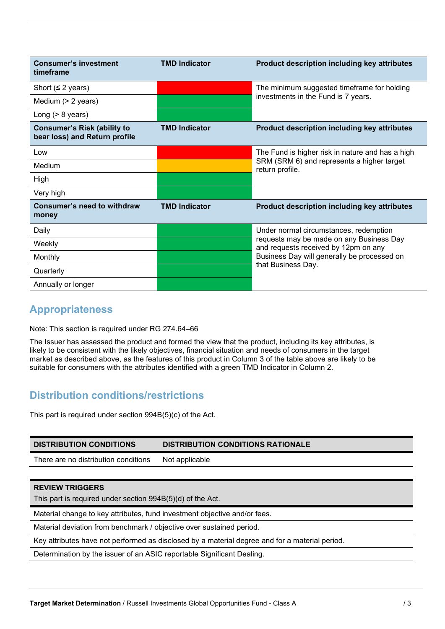| <b>Consumer's investment</b><br>timeframe                           | <b>TMD Indicator</b> | Product description including key attributes                                     |  |
|---------------------------------------------------------------------|----------------------|----------------------------------------------------------------------------------|--|
| Short ( $\leq$ 2 years)                                             |                      | The minimum suggested timeframe for holding                                      |  |
| Medium (> 2 years)                                                  |                      | investments in the Fund is 7 years.                                              |  |
| Long $(> 8$ years)                                                  |                      |                                                                                  |  |
| <b>Consumer's Risk (ability to</b><br>bear loss) and Return profile | <b>TMD Indicator</b> | Product description including key attributes                                     |  |
| Low                                                                 |                      | The Fund is higher risk in nature and has a high                                 |  |
| Medium                                                              |                      | SRM (SRM 6) and represents a higher target<br>return profile.                    |  |
| High                                                                |                      |                                                                                  |  |
| Very high                                                           |                      |                                                                                  |  |
| Consumer's need to withdraw<br>money                                | <b>TMD Indicator</b> | <b>Product description including key attributes</b>                              |  |
| Daily                                                               |                      | Under normal circumstances, redemption                                           |  |
| Weekly                                                              |                      | requests may be made on any Business Day<br>and requests received by 12pm on any |  |
| Monthly                                                             |                      | Business Day will generally be processed on                                      |  |
| Quarterly                                                           |                      | that Business Day.                                                               |  |
| Annually or longer                                                  |                      |                                                                                  |  |

# **Appropriateness**

Note: This section is required under RG 274.64–66

The Issuer has assessed the product and formed the view that the product, including its key attributes, is likely to be consistent with the likely objectives, financial situation and needs of consumers in the target market as described above, as the features of this product in Column 3 of the table above are likely to be suitable for consumers with the attributes identified with a green TMD Indicator in Column 2.

# **Distribution conditions/restrictions**

This part is required under section 994B(5)(c) of the Act.

| <b>DISTRIBUTION CONDITIONS</b>                                                                 | <b>DISTRIBUTION CONDITIONS RATIONALE</b> |  |
|------------------------------------------------------------------------------------------------|------------------------------------------|--|
| There are no distribution conditions                                                           | Not applicable                           |  |
|                                                                                                |                                          |  |
| <b>REVIEW TRIGGERS</b>                                                                         |                                          |  |
| This part is required under section 994B(5)(d) of the Act.                                     |                                          |  |
| Material change to key attributes, fund investment objective and/or fees.                      |                                          |  |
| Material deviation from benchmark / objective over sustained period.                           |                                          |  |
| Key attributes have not performed as disclosed by a material degree and for a material period. |                                          |  |
| Determination by the issuer of an ASIC reportable Significant Dealing.                         |                                          |  |
|                                                                                                |                                          |  |
|                                                                                                |                                          |  |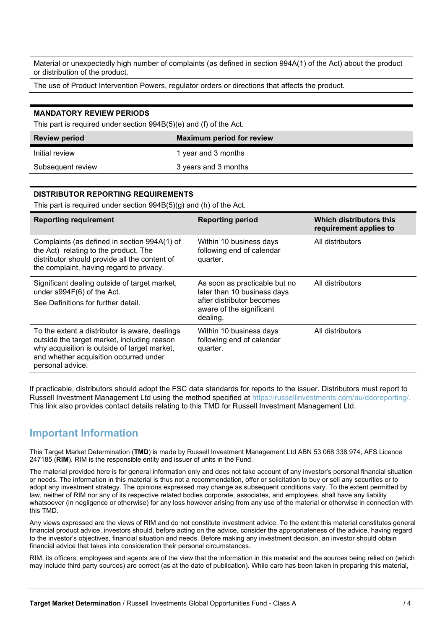Material or unexpectedly high number of complaints (as defined in section 994A(1) of the Act) about the product or distribution of the product.

The use of Product Intervention Powers, regulator orders or directions that affects the product.

#### **MANDATORY REVIEW PERIODS**

This part is required under section 994B(5)(e) and (f) of the Act.

| <b>Review period</b> | <b>Maximum period for review</b> |
|----------------------|----------------------------------|
| Initial review       | 1 year and 3 months              |
| Subsequent review    | 3 years and 3 months             |

### **DISTRIBUTOR REPORTING REQUIREMENTS**

This part is required under section 994B(5)(g) and (h) of the Act.

| <b>Reporting requirement</b>                                                                                                                                                                                | <b>Reporting period</b>                                                                                                           | Which distributors this<br>requirement applies to |
|-------------------------------------------------------------------------------------------------------------------------------------------------------------------------------------------------------------|-----------------------------------------------------------------------------------------------------------------------------------|---------------------------------------------------|
| Complaints (as defined in section 994A(1) of<br>the Act) relating to the product. The<br>distributor should provide all the content of<br>the complaint, having regard to privacy.                          | Within 10 business days<br>following end of calendar<br>quarter.                                                                  | All distributors                                  |
| Significant dealing outside of target market,<br>under s994F(6) of the Act.<br>See Definitions for further detail.                                                                                          | As soon as practicable but no<br>later than 10 business days<br>after distributor becomes<br>aware of the significant<br>dealing. | All distributors                                  |
| To the extent a distributor is aware, dealings<br>outside the target market, including reason<br>why acquisition is outside of target market,<br>and whether acquisition occurred under<br>personal advice. | Within 10 business days<br>following end of calendar<br>quarter.                                                                  | All distributors                                  |

If practicable, distributors should adopt the FSC data standards for reports to the issuer. Distributors must report to Russell Investment Management Ltd using the method specified at https://russellinvestments.com/au/ddoreporting/. This link also provides contact details relating to this TMD for Russell Investment Management Ltd.

### **Important Information**

This Target Market Determination (**TMD**) is made by Russell Investment Management Ltd ABN 53 068 338 974, AFS Licence 247185 (**RIM**). RIM is the responsible entity and issuer of units in the Fund.

The material provided here is for general information only and does not take account of any investor's personal financial situation or needs. The information in this material is thus not a recommendation, offer or solicitation to buy or sell any securities or to adopt any investment strategy. The opinions expressed may change as subsequent conditions vary. To the extent permitted by law, neither of RIM nor any of its respective related bodies corporate, associates, and employees, shall have any liability whatsoever (in negligence or otherwise) for any loss however arising from any use of the material or otherwise in connection with this TMD.

Any views expressed are the views of RIM and do not constitute investment advice. To the extent this material constitutes general financial product advice, investors should, before acting on the advice, consider the appropriateness of the advice, having regard to the investor's objectives, financial situation and needs. Before making any investment decision, an investor should obtain financial advice that takes into consideration their personal circumstances.

RIM, its officers, employees and agents are of the view that the information in this material and the sources being relied on (which may include third party sources) are correct (as at the date of publication). While care has been taken in preparing this material,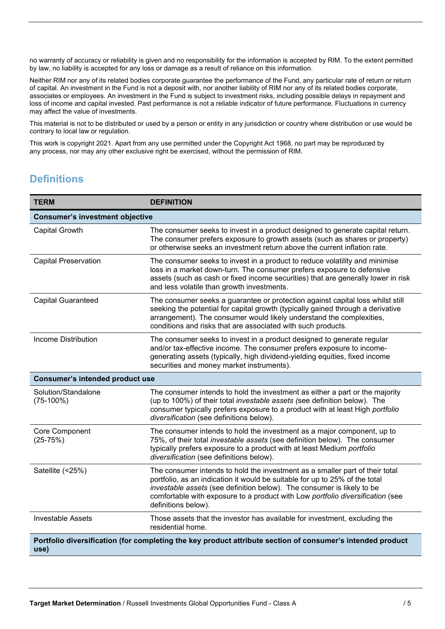no warranty of accuracy or reliability is given and no responsibility for the information is accepted by RIM. To the extent permitted by law, no liability is accepted for any loss or damage as a result of reliance on this information.

Neither RIM nor any of its related bodies corporate guarantee the performance of the Fund, any particular rate of return or return of capital. An investment in the Fund is not a deposit with, nor another liability of RIM nor any of its related bodies corporate, associates or employees. An investment in the Fund is subject to investment risks, including possible delays in repayment and loss of income and capital invested. Past performance is not a reliable indicator of future performance. Fluctuations in currency may affect the value of investments.

This material is not to be distributed or used by a person or entity in any jurisdiction or country where distribution or use would be contrary to local law or regulation.

This work is copyright 2021. Apart from any use permitted under the Copyright Act 1968, no part may be reproduced by any process, nor may any other exclusive right be exercised, without the permission of RIM.

# **Definitions**

| <b>TERM</b>                            | <b>DEFINITION</b>                                                                                                                                                                                                                                                                                                                              |  |
|----------------------------------------|------------------------------------------------------------------------------------------------------------------------------------------------------------------------------------------------------------------------------------------------------------------------------------------------------------------------------------------------|--|
| <b>Consumer's investment objective</b> |                                                                                                                                                                                                                                                                                                                                                |  |
| <b>Capital Growth</b>                  | The consumer seeks to invest in a product designed to generate capital return.<br>The consumer prefers exposure to growth assets (such as shares or property)<br>or otherwise seeks an investment return above the current inflation rate.                                                                                                     |  |
| <b>Capital Preservation</b>            | The consumer seeks to invest in a product to reduce volatility and minimise<br>loss in a market down-turn. The consumer prefers exposure to defensive<br>assets (such as cash or fixed income securities) that are generally lower in risk<br>and less volatile than growth investments.                                                       |  |
| <b>Capital Guaranteed</b>              | The consumer seeks a guarantee or protection against capital loss whilst still<br>seeking the potential for capital growth (typically gained through a derivative<br>arrangement). The consumer would likely understand the complexities,<br>conditions and risks that are associated with such products.                                      |  |
| <b>Income Distribution</b>             | The consumer seeks to invest in a product designed to generate regular<br>and/or tax-effective income. The consumer prefers exposure to income-<br>generating assets (typically, high dividend-yielding equities, fixed income<br>securities and money market instruments).                                                                    |  |
| <b>Consumer's intended product use</b> |                                                                                                                                                                                                                                                                                                                                                |  |
| Solution/Standalone<br>$(75-100%)$     | The consumer intends to hold the investment as either a part or the majority<br>(up to 100%) of their total investable assets (see definition below). The<br>consumer typically prefers exposure to a product with at least High portfolio<br>diversification (see definitions below).                                                         |  |
| Core Component<br>$(25-75%)$           | The consumer intends to hold the investment as a major component, up to<br>75%, of their total investable assets (see definition below). The consumer<br>typically prefers exposure to a product with at least Medium portfolio<br>diversification (see definitions below).                                                                    |  |
| Satellite (<25%)                       | The consumer intends to hold the investment as a smaller part of their total<br>portfolio, as an indication it would be suitable for up to 25% of the total<br>investable assets (see definition below). The consumer is likely to be<br>comfortable with exposure to a product with Low portfolio diversification (see<br>definitions below). |  |
| <b>Investable Assets</b>               | Those assets that the investor has available for investment, excluding the<br>residential home.                                                                                                                                                                                                                                                |  |
| use)                                   | Portfolio diversification (for completing the key product attribute section of consumer's intended product                                                                                                                                                                                                                                     |  |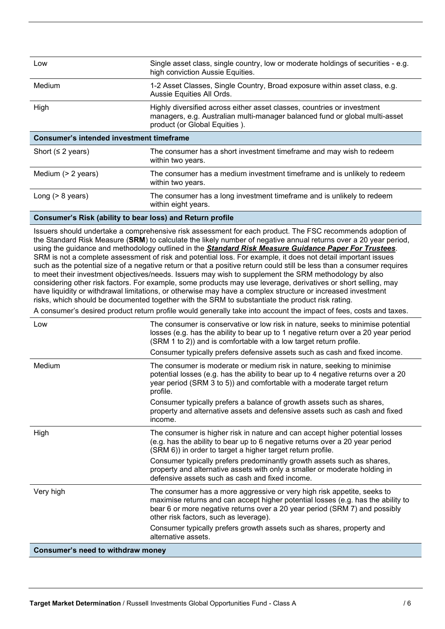| Low                                             | Single asset class, single country, low or moderate holdings of securities - e.g.<br>high conviction Aussie Equities.                                                                   |  |
|-------------------------------------------------|-----------------------------------------------------------------------------------------------------------------------------------------------------------------------------------------|--|
| Medium                                          | 1-2 Asset Classes, Single Country, Broad exposure within asset class, e.g.<br>Aussie Equities All Ords.                                                                                 |  |
| High                                            | Highly diversified across either asset classes, countries or investment<br>managers, e.g. Australian multi-manager balanced fund or global multi-asset<br>product (or Global Equities). |  |
| <b>Consumer's intended investment timeframe</b> |                                                                                                                                                                                         |  |
| Short ( $\leq$ 2 years)                         | The consumer has a short investment timeframe and may wish to redeem<br>within two years.                                                                                               |  |
| Medium $(> 2$ years)                            | The consumer has a medium investment timeframe and is unlikely to redeem<br>within two years.                                                                                           |  |
| Long $(> 8$ years)                              | The consumer has a long investment timeframe and is unlikely to redeem<br>within eight years.                                                                                           |  |

### **Consumer's Risk (ability to bear loss) and Return profile**

Issuers should undertake a comprehensive risk assessment for each product. The FSC recommends adoption of the Standard Risk Measure (**SRM**) to calculate the likely number of negative annual returns over a 20 year period, using the guidance and methodology outlined in the *Standard Risk Measure Guidance Paper For Trustees*. SRM is not a complete assessment of risk and potential loss. For example, it does not detail important issues such as the potential size of a negative return or that a positive return could still be less than a consumer requires to meet their investment objectives/needs. Issuers may wish to supplement the SRM methodology by also considering other risk factors. For example, some products may use leverage, derivatives or short selling, may have liquidity or withdrawal limitations, or otherwise may have a complex structure or increased investment risks, which should be documented together with the SRM to substantiate the product risk rating.

A consumer's desired product return profile would generally take into account the impact of fees, costs and taxes.

| Low                               | The consumer is conservative or low risk in nature, seeks to minimise potential<br>losses (e.g. has the ability to bear up to 1 negative return over a 20 year period<br>(SRM 1 to 2)) and is comfortable with a low target return profile.<br>Consumer typically prefers defensive assets such as cash and fixed income. |
|-----------------------------------|---------------------------------------------------------------------------------------------------------------------------------------------------------------------------------------------------------------------------------------------------------------------------------------------------------------------------|
| Medium                            | The consumer is moderate or medium risk in nature, seeking to minimise<br>potential losses (e.g. has the ability to bear up to 4 negative returns over a 20<br>year period (SRM 3 to 5)) and comfortable with a moderate target return<br>profile.                                                                        |
|                                   | Consumer typically prefers a balance of growth assets such as shares,<br>property and alternative assets and defensive assets such as cash and fixed<br>income.                                                                                                                                                           |
| High                              | The consumer is higher risk in nature and can accept higher potential losses<br>(e.g. has the ability to bear up to 6 negative returns over a 20 year period<br>(SRM 6)) in order to target a higher target return profile.                                                                                               |
|                                   | Consumer typically prefers predominantly growth assets such as shares,<br>property and alternative assets with only a smaller or moderate holding in<br>defensive assets such as cash and fixed income.                                                                                                                   |
| Very high                         | The consumer has a more aggressive or very high risk appetite, seeks to<br>maximise returns and can accept higher potential losses (e.g. has the ability to<br>bear 6 or more negative returns over a 20 year period (SRM 7) and possibly<br>other risk factors, such as leverage).                                       |
|                                   | Consumer typically prefers growth assets such as shares, property and<br>alternative assets.                                                                                                                                                                                                                              |
| Consumer's need to withdraw money |                                                                                                                                                                                                                                                                                                                           |